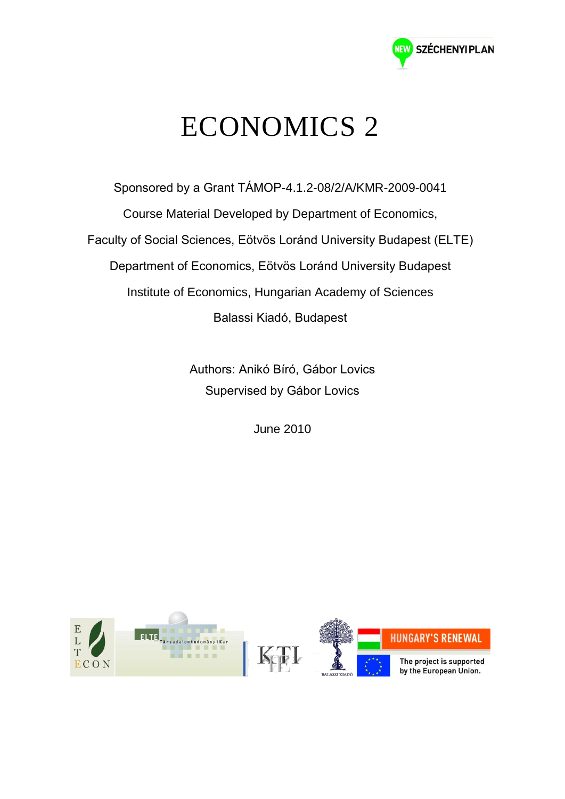

## ECONOMICS 2

Sponsored by a Grant TÁMOP-4.1.2-08/2/A/KMR-2009-0041 Course Material Developed by Department of Economics, Faculty of Social Sciences, Eötvös Loránd University Budapest (ELTE) Department of Economics, Eötvös Loránd University Budapest Institute of Economics, Hungarian Academy of Sciences Balassi Kiadó, Budapest

> Authors: Anikó Bíró, Gábor Lovics Supervised by Gábor Lovics

> > June 2010

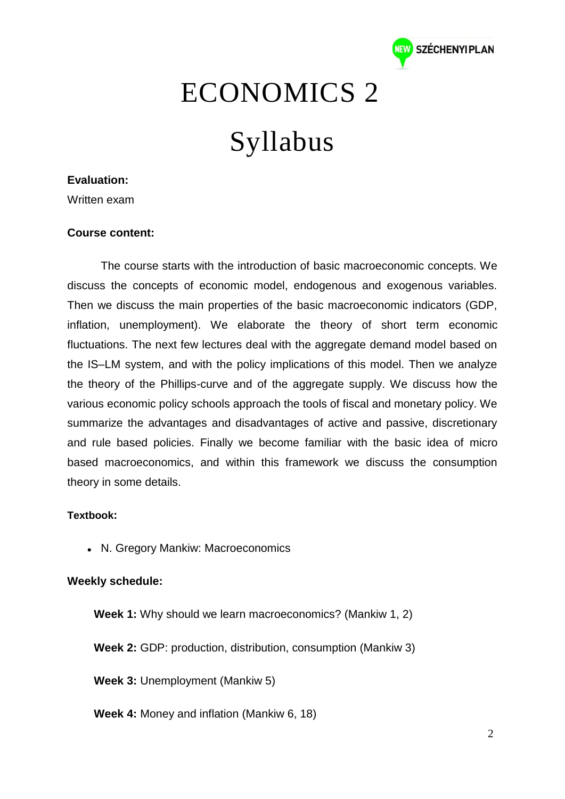

### ECONOMICS 2

# Syllabus

#### **Evaluation:**

Written exam

#### **Course content:**

The course starts with the introduction of basic macroeconomic concepts. We discuss the concepts of economic model, endogenous and exogenous variables. Then we discuss the main properties of the basic macroeconomic indicators (GDP, inflation, unemployment). We elaborate the theory of short term economic fluctuations. The next few lectures deal with the aggregate demand model based on the IS–LM system, and with the policy implications of this model. Then we analyze the theory of the Phillips-curve and of the aggregate supply. We discuss how the various economic policy schools approach the tools of fiscal and monetary policy. We summarize the advantages and disadvantages of active and passive, discretionary and rule based policies. Finally we become familiar with the basic idea of micro based macroeconomics, and within this framework we discuss the consumption theory in some details.

#### **Textbook:**

N. Gregory Mankiw: Macroeconomics

#### **Weekly schedule:**

**Week 1:** Why should we learn macroeconomics? (Mankiw 1, 2)

**Week 2:** GDP: production, distribution, consumption (Mankiw 3)

**Week 3:** Unemployment (Mankiw 5)

**Week 4:** Money and inflation (Mankiw 6, 18)